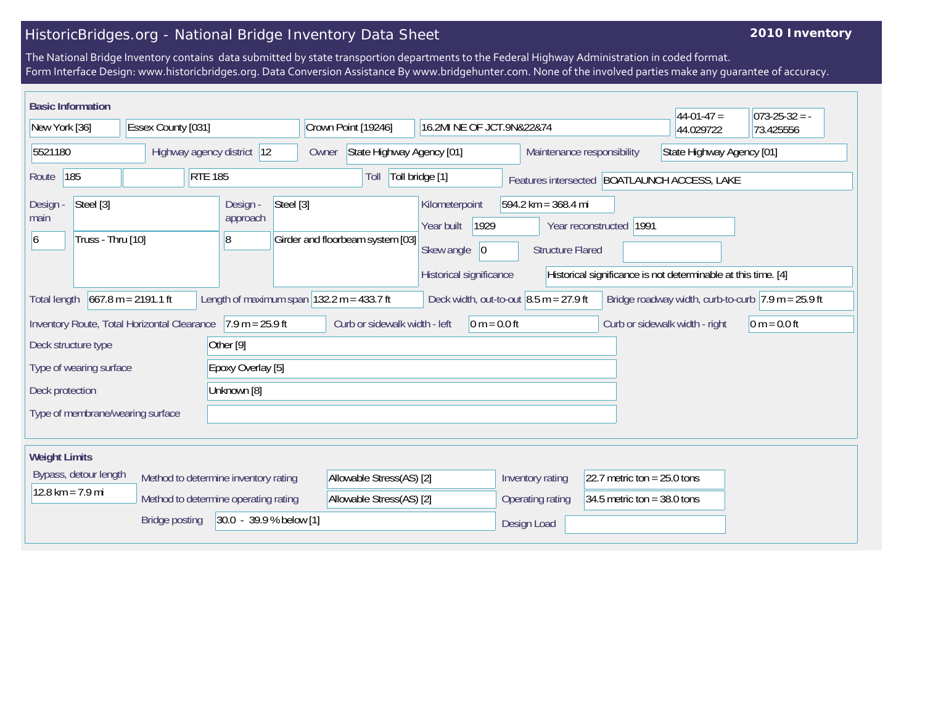## HistoricBridges.org - National Bridge Inventory Data Sheet

## **2010 Inventory**

The National Bridge Inventory contains data submitted by state transportion departments to the Federal Highway Administration in coded format. Form Interface Design: www.historicbridges.org. Data Conversion Assistance By www.bridgehunter.com. None of the involved parties make any guarantee of accuracy.

| <b>Basic Information</b>                                    |                       |                                                               |                                  |                                                                                      |                                                                  |                               | $44-01-47=$                                                   | $073 - 25 - 32 = -$                                                    |
|-------------------------------------------------------------|-----------------------|---------------------------------------------------------------|----------------------------------|--------------------------------------------------------------------------------------|------------------------------------------------------------------|-------------------------------|---------------------------------------------------------------|------------------------------------------------------------------------|
| New York [36]                                               | Essex County [031]    |                                                               | Crown Point [19246]              | 16.2MI NE OF JCT.9N&22&74                                                            |                                                                  |                               | 44.029722                                                     | 73.425556                                                              |
| Highway agency district 12<br>5521180                       |                       | State Highway Agency [01]<br>Owner                            |                                  | Maintenance responsibility                                                           |                                                                  | State Highway Agency [01]     |                                                               |                                                                        |
| 185<br>Route                                                |                       | <b>RTE 185</b>                                                | Toll                             | Toll bridge [1]                                                                      |                                                                  |                               | Features intersected   BOATLAUNCH ACCESS, LAKE                |                                                                        |
| Steel [3]<br>Design<br>main<br>Truss - Thru [10]<br>6       |                       | Steel [3]<br>Design -<br>approach<br> 8                       | Girder and floorbeam system [03] | Kilometerpoint<br>1929<br>Year built<br>Skew angle<br> 0 <br>Historical significance | $594.2 \text{ km} = 368.4 \text{ mi}$<br><b>Structure Flared</b> | Year reconstructed   1991     | Historical significance is not determinable at this time. [4] |                                                                        |
| <b>Total length</b>                                         | $667.8 m = 2191.1 ft$ | Length of maximum span $ 132.2 \text{ m} = 433.7 \text{ ft} $ |                                  |                                                                                      | Deck width, out-to-out $8.5$ m = 27.9 ft                         |                               |                                                               | Bridge roadway width, curb-to-curb $ 7.9 \text{ m} = 25.9 \text{ ft} $ |
| Inventory Route, Total Horizontal Clearance 7.9 m = 25.9 ft |                       |                                                               | Curb or sidewalk width - left    | $0 m = 0.0 ft$                                                                       |                                                                  |                               | Curb or sidewalk width - right                                | $ 0 m = 0.0 ft$                                                        |
| Deck structure type                                         |                       | Other <sup>[9]</sup>                                          |                                  |                                                                                      |                                                                  |                               |                                                               |                                                                        |
| Type of wearing surface<br>Epoxy Overlay [5]                |                       |                                                               |                                  |                                                                                      |                                                                  |                               |                                                               |                                                                        |
| Unknown [8]<br>Deck protection                              |                       |                                                               |                                  |                                                                                      |                                                                  |                               |                                                               |                                                                        |
| Type of membrane/wearing surface                            |                       |                                                               |                                  |                                                                                      |                                                                  |                               |                                                               |                                                                        |
| <b>Weight Limits</b>                                        |                       |                                                               |                                  |                                                                                      |                                                                  |                               |                                                               |                                                                        |
| Bypass, detour length                                       |                       | Method to determine inventory rating                          | Allowable Stress(AS) [2]         |                                                                                      | Inventory rating                                                 | 22.7 metric ton = $25.0$ tons |                                                               |                                                                        |
| $12.8 \text{ km} = 7.9 \text{ mi}$                          |                       | Method to determine operating rating                          | Allowable Stress(AS) [2]         |                                                                                      | Operating rating                                                 | 34.5 metric ton = $38.0$ tons |                                                               |                                                                        |
|                                                             | <b>Bridge posting</b> | 30.0 - 39.9 % below [1]                                       |                                  |                                                                                      | Design Load                                                      |                               |                                                               |                                                                        |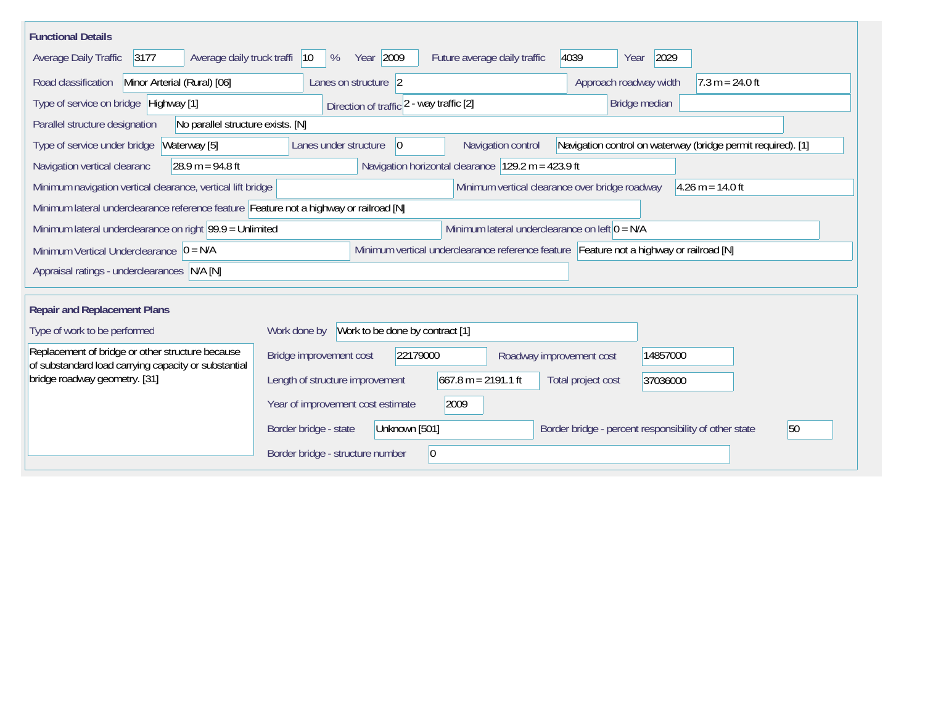| <b>Functional Details</b>                                                                                                           |                                                                                                                               |  |  |  |  |  |  |  |
|-------------------------------------------------------------------------------------------------------------------------------------|-------------------------------------------------------------------------------------------------------------------------------|--|--|--|--|--|--|--|
| 3177<br>Average daily truck traffi<br>Average Daily Traffic                                                                         | Year 2009<br>2029<br>4039<br>$ 10\rangle$<br>%<br>Future average daily traffic<br>Year                                        |  |  |  |  |  |  |  |
| Road classification<br>Minor Arterial (Rural) [06]                                                                                  | Approach roadway width<br>$7.3 m = 24.0 ft$<br>Lanes on structure 2                                                           |  |  |  |  |  |  |  |
| Type of service on bridge Highway [1]                                                                                               | Direction of traffic 2 - way traffic [2]<br>Bridge median                                                                     |  |  |  |  |  |  |  |
| Parallel structure designation<br>No parallel structure exists. [N]                                                                 |                                                                                                                               |  |  |  |  |  |  |  |
| Type of service under bridge<br>Waterway [5]                                                                                        | Navigation control on waterway (bridge permit required). [1]<br>Lanes under structure<br>Navigation control<br>$\overline{0}$ |  |  |  |  |  |  |  |
| Navigation vertical clearanc<br>$28.9 m = 94.8 ft$                                                                                  | Navigation horizontal clearance $ 129.2 \text{ m} = 423.9 \text{ ft} $                                                        |  |  |  |  |  |  |  |
| Minimum vertical clearance over bridge roadway<br>$4.26$ m = 14.0 ft<br>Minimum navigation vertical clearance, vertical lift bridge |                                                                                                                               |  |  |  |  |  |  |  |
| Minimum lateral underclearance reference feature Feature not a highway or railroad [N]                                              |                                                                                                                               |  |  |  |  |  |  |  |
| Minimum lateral underclearance on right $99.9 =$ Unlimited                                                                          | Minimum lateral underclearance on left $0 = N/A$                                                                              |  |  |  |  |  |  |  |
| Minimum Vertical Underclearance $ 0 = N/A$                                                                                          | Minimum vertical underclearance reference feature Feature not a highway or railroad [N]                                       |  |  |  |  |  |  |  |
| Appraisal ratings - underclearances N/A [N]                                                                                         |                                                                                                                               |  |  |  |  |  |  |  |
|                                                                                                                                     |                                                                                                                               |  |  |  |  |  |  |  |
| <b>Repair and Replacement Plans</b>                                                                                                 |                                                                                                                               |  |  |  |  |  |  |  |
| Type of work to be performed                                                                                                        | Work to be done by contract [1]<br>Work done by                                                                               |  |  |  |  |  |  |  |
| Replacement of bridge or other structure because<br>of substandard load carrying capacity or substantial                            | Bridge improvement cost<br>22179000<br>14857000<br>Roadway improvement cost                                                   |  |  |  |  |  |  |  |
| bridge roadway geometry. [31]                                                                                                       | $667.8 m = 2191.1 ft$<br>Length of structure improvement<br>Total project cost<br>37036000                                    |  |  |  |  |  |  |  |
|                                                                                                                                     | Year of improvement cost estimate<br>2009                                                                                     |  |  |  |  |  |  |  |
|                                                                                                                                     | Unknown [501]<br>Border bridge - percent responsibility of other state<br>50<br>Border bridge - state                         |  |  |  |  |  |  |  |
|                                                                                                                                     | $ 0\rangle$<br>Border bridge - structure number                                                                               |  |  |  |  |  |  |  |